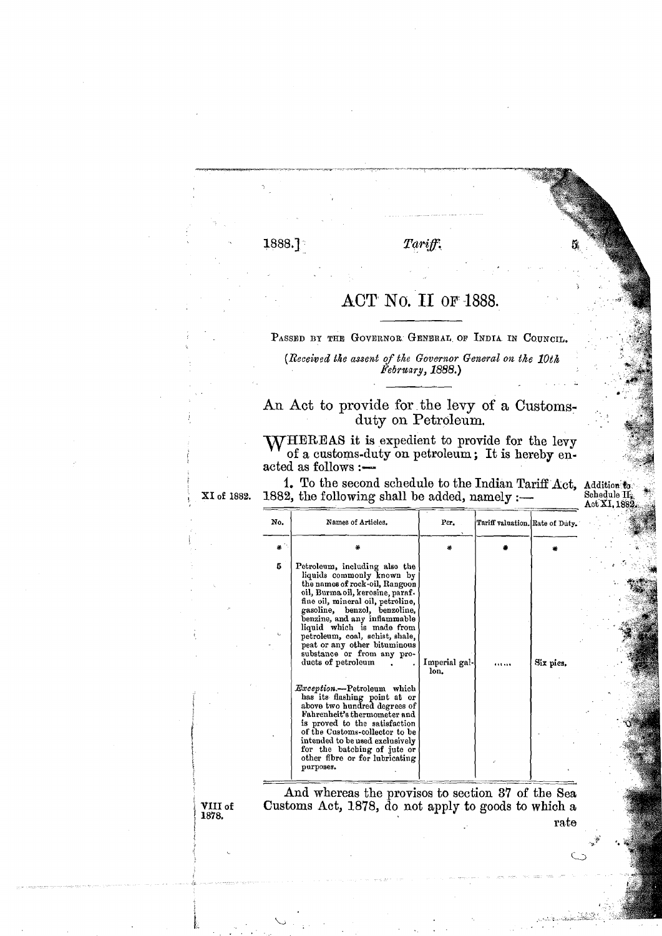## 1888.]

## Tariff.

## ACT No. II OF 1888.

PASSED BY THE GOVERNOR GENERAL OF INDIA IN COUNCIL.

(Received the assent of the Governor General on the 10th February, 1888.)

An Act to provide for the levy of a Customs-<br>duty on Petroleum.

**NVHEREAS** it is expedient to provide for the levy of a customs-duty on petroleum; It is hereby enacted as follows :-

1. To the second schedule to the Indian Tariff Act, XI of 1882. 1882, the following shall be added, namely :-

Addition to<br>Schedule II  $\operatorname{Act}$  XI,  $188$ 

| No. | Names of Articles.                                                                                                                                                                                                                                                                                                                                                                                                                                                                                                                                                                                                                                                                                                   | Per.                  | Tariff valuation. Rate of Duty. |           |
|-----|----------------------------------------------------------------------------------------------------------------------------------------------------------------------------------------------------------------------------------------------------------------------------------------------------------------------------------------------------------------------------------------------------------------------------------------------------------------------------------------------------------------------------------------------------------------------------------------------------------------------------------------------------------------------------------------------------------------------|-----------------------|---------------------------------|-----------|
| 碁   | ÷.                                                                                                                                                                                                                                                                                                                                                                                                                                                                                                                                                                                                                                                                                                                   | ÷                     |                                 |           |
| 5   | Petroleum, including also the<br>liquids commonly known by<br>the names of rock-oil, Rangoon<br>cil, Burma cil, kerosine, paraf.<br>fine oil, mineral oil, petroline,<br>gasoline, benzol, benzoline,<br>benzine, and any inflammable<br>liquid which is made from<br>petroleum, coal, schist, shale,<br>peat or any other bituminous<br>substance or from any pro-<br>ducts of petroleum<br><i>Exception</i> .--Petroleum which<br>has its flashing point at or<br>above two hundred degrees of<br>Fahrenheit's thermometer and<br>is proved to the satisfaction<br>of the Customs-collector to be<br>intended to be used exclusively<br>for the batching of jute or<br>other fibre or for lubricating<br>purposes. | Imperial gal-<br>lon. |                                 | Six pics. |
|     |                                                                                                                                                                                                                                                                                                                                                                                                                                                                                                                                                                                                                                                                                                                      |                       |                                 |           |

And whereas the provisos to section 37 of the Sea Customs Act, 1878, do not apply to goods to which a rate

VIII of 1878.